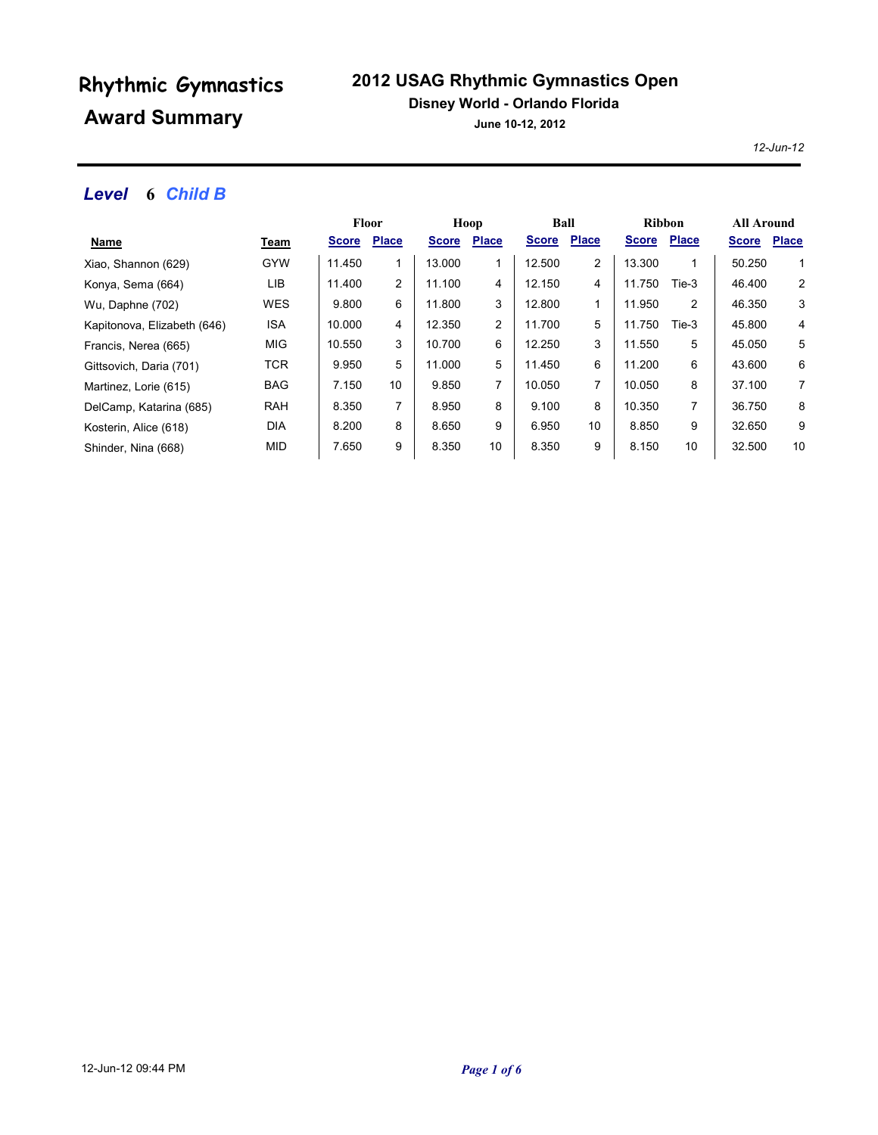### **2012 USAG Rhythmic Gymnastics Open**

#### **Disney World - Orlando Florida**

**June 10-12, 2012**

*12-Jun-12*

### *Level* **6** *Child B*

|                             |             | <b>Floor</b> |              | Hoop         |                | Ball         |              | <b>Ribbon</b> |              | <b>All Around</b> |              |
|-----------------------------|-------------|--------------|--------------|--------------|----------------|--------------|--------------|---------------|--------------|-------------------|--------------|
| <u>Name</u>                 | <u>Team</u> | <b>Score</b> | <b>Place</b> | <b>Score</b> | <b>Place</b>   | <b>Score</b> | <b>Place</b> | <b>Score</b>  | <b>Place</b> | <b>Score</b>      | <b>Place</b> |
| Xiao, Shannon (629)         | <b>GYW</b>  | 11.450       | 1            | 13.000       |                | 12.500       | 2            | 13.300        | 1            | 50.250            | 1            |
| Konya, Sema (664)           | LIB         | 11.400       | 2            | 11.100       | 4              | 12.150       | 4            | 11.750        | Tie-3        | 46.400            | 2            |
| Wu, Daphne (702)            | <b>WES</b>  | 9.800        | 6            | 11.800       | 3              | 12.800       | 1            | 11.950        | 2            | 46.350            | 3            |
| Kapitonova, Elizabeth (646) | ISA         | 10.000       | 4            | 12.350       | $\overline{2}$ | 11.700       | 5            | 11.750        | Tie-3        | 45.800            | 4            |
| Francis, Nerea (665)        | <b>MIG</b>  | 10.550       | 3            | 10.700       | 6              | 12.250       | 3            | 11.550        | 5            | 45.050            | 5            |
| Gittsovich, Daria (701)     | <b>TCR</b>  | 9.950        | 5            | 11.000       | 5              | 11.450       | 6            | 11.200        | 6            | 43.600            | 6            |
| Martinez, Lorie (615)       | <b>BAG</b>  | 7.150        | 10           | 9.850        | 7              | 10.050       | 7            | 10.050        | 8            | 37.100            | 7            |
| DelCamp, Katarina (685)     | <b>RAH</b>  | 8.350        | 7            | 8.950        | 8              | 9.100        | 8            | 10.350        | 7            | 36.750            | 8            |
| Kosterin, Alice (618)       | <b>DIA</b>  | 8.200        | 8            | 8.650        | 9              | 6.950        | 10           | 8.850         | 9            | 32.650            | 9            |
| Shinder, Nina (668)         | MID         | 7.650        | 9            | 8.350        | 10             | 8.350        | 9            | 8.150         | 10           | 32.500            | 10           |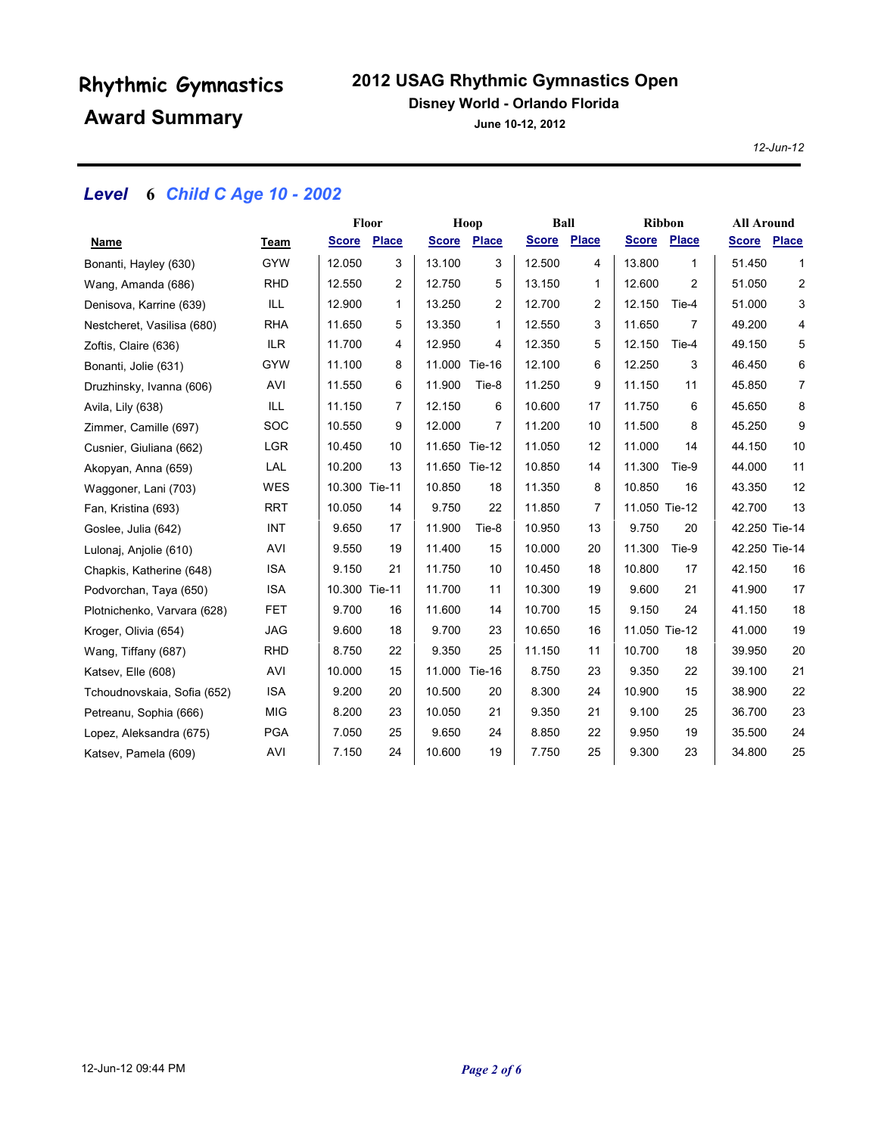### **2012 USAG Rhythmic Gymnastics Open**

#### **Disney World - Orlando Florida**

**June 10-12, 2012**

*12-Jun-12*

### *Level* **6** *Child C Age 10 - 2002*

|                             |            | Floor              |                | Hoop          |                    | Ball        |                   | <b>Ribbon</b> |                | <b>All Around</b> |                |
|-----------------------------|------------|--------------------|----------------|---------------|--------------------|-------------|-------------------|---------------|----------------|-------------------|----------------|
| Name                        | Team       | <b>Score Place</b> |                |               | <b>Score Place</b> | Score Place |                   | <b>Score</b>  | Place          | <b>Score</b>      | <b>Place</b>   |
| Bonanti, Hayley (630)       | <b>GYW</b> | 12.050             | 3              | 13.100        | 3                  | 12.500      | 4                 | 13.800        | 1              | 51.450            | 1              |
| Wang, Amanda (686)          | <b>RHD</b> | 12.550             | $\overline{c}$ | 12.750        | 5                  | 13.150      | $\mathbf{1}$      | 12.600        | $\overline{2}$ | 51.050            | $\overline{c}$ |
| Denisova, Karrine (639)     | ILL        | 12.900             | 1              | 13.250        | 2                  | 12.700      | 2                 | 12.150        | Tie-4          | 51.000            | 3              |
| Nestcheret, Vasilisa (680)  | <b>RHA</b> | 11.650             | 5              | 13.350        | 1                  | 12.550      | 3                 | 11.650        | $\overline{7}$ | 49.200            | 4              |
| Zoftis, Claire (636)        | <b>ILR</b> | 11.700             | 4              | 12.950        | 4                  | 12.350      | 5                 | 12.150        | Tie-4          | 49.150            | 5              |
| Bonanti, Jolie (631)        | <b>GYW</b> | 11.100             | 8              | 11.000 Tie-16 |                    | 12.100      | 6                 | 12.250        | 3              | 46.450            | 6              |
| Druzhinsky, Ivanna (606)    | AVI        | 11.550             | 6              | 11.900        | Tie-8              | 11.250      | 9                 | 11.150        | 11             | 45.850            | $\overline{7}$ |
| Avila, Lily (638)           | ILL        | 11.150             | 7              | 12.150        | 6                  | 10.600      | 17                | 11.750        | 6              | 45.650            | 8              |
| Zimmer, Camille (697)       | <b>SOC</b> | 10.550             | 9              | 12.000        | 7                  | 11.200      | 10                | 11.500        | 8              | 45.250            | 9              |
| Cusnier, Giuliana (662)     | <b>LGR</b> | 10.450             | 10             | 11.650 Tie-12 |                    | 11.050      | $12 \overline{ }$ | 11.000        | 14             | 44.150            | 10             |
| Akopyan, Anna (659)         | LAL        | 10.200             | 13             | 11.650 Tie-12 |                    | 10.850      | 14                | 11.300        | Tie-9          | 44.000            | 11             |
| Waggoner, Lani (703)        | <b>WES</b> | 10.300 Tie-11      |                | 10.850        | 18                 | 11.350      | 8                 | 10.850        | 16             | 43.350            | 12             |
| Fan, Kristina (693)         | <b>RRT</b> | 10.050             | 14             | 9.750         | 22                 | 11.850      | 7                 | 11.050 Tie-12 |                | 42.700            | 13             |
| Goslee, Julia (642)         | INT        | 9.650              | 17             | 11.900        | Tie-8              | 10.950      | 13                | 9.750         | 20             | 42.250 Tie-14     |                |
| Lulonaj, Anjolie (610)      | AVI        | 9.550              | 19             | 11.400        | 15                 | 10.000      | 20                | 11.300        | Tie-9          | 42.250 Tie-14     |                |
| Chapkis, Katherine (648)    | <b>ISA</b> | 9.150              | 21             | 11.750        | 10                 | 10.450      | 18                | 10.800        | 17             | 42.150            | 16             |
| Podvorchan, Taya (650)      | <b>ISA</b> | 10.300 Tie-11      |                | 11.700        | 11                 | 10.300      | 19                | 9.600         | 21             | 41.900            | 17             |
| Plotnichenko, Varvara (628) | <b>FET</b> | 9.700              | 16             | 11.600        | 14                 | 10.700      | 15                | 9.150         | 24             | 41.150            | 18             |
| Kroger, Olivia (654)        | <b>JAG</b> | 9.600              | 18             | 9.700         | 23                 | 10.650      | 16                | 11.050 Tie-12 |                | 41.000            | 19             |
| Wang, Tiffany (687)         | <b>RHD</b> | 8.750              | 22             | 9.350         | 25                 | 11.150      | 11                | 10.700        | 18             | 39.950            | 20             |
| Katsev, Elle (608)          | AVI        | 10.000             | 15             | 11.000 Tie-16 |                    | 8.750       | 23                | 9.350         | 22             | 39.100            | 21             |
| Tchoudnovskaia, Sofia (652) | <b>ISA</b> | 9.200              | 20             | 10.500        | 20                 | 8.300       | 24                | 10.900        | 15             | 38.900            | 22             |
| Petreanu, Sophia (666)      | <b>MIG</b> | 8.200              | 23             | 10.050        | 21                 | 9.350       | 21                | 9.100         | 25             | 36.700            | 23             |
| Lopez, Aleksandra (675)     | <b>PGA</b> | 7.050              | 25             | 9.650         | 24                 | 8.850       | 22                | 9.950         | 19             | 35.500            | 24             |
| Katsev, Pamela (609)        | AVI        | 7.150              | 24             | 10.600        | 19                 | 7.750       | 25                | 9.300         | 23             | 34.800            | 25             |
|                             |            |                    |                |               |                    |             |                   |               |                |                   |                |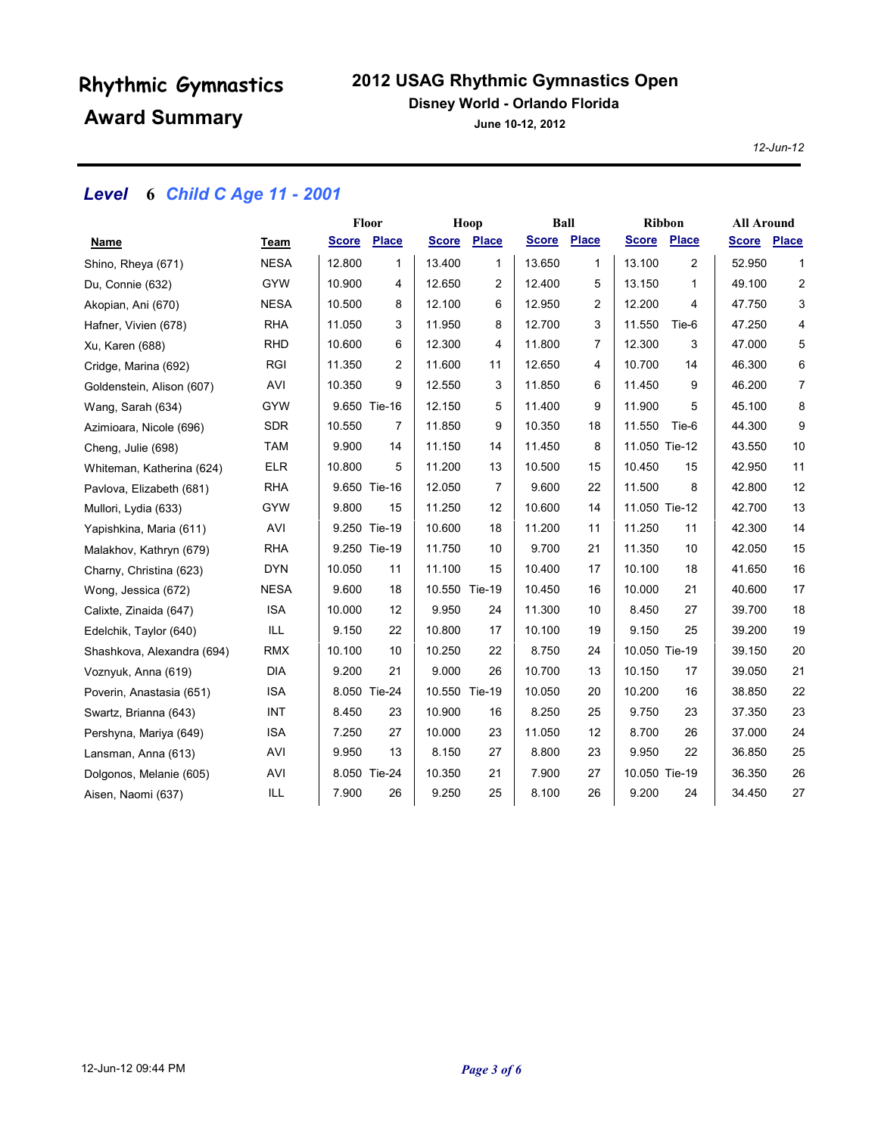### **2012 USAG Rhythmic Gymnastics Open**

#### **Disney World - Orlando Florida**

**June 10-12, 2012**

*12-Jun-12*

### *Level* **6** *Child C Age 11 - 2001*

|                            |             | Floor        |                | Hoop          |              | <b>Ball</b>  |                | <b>Ribbon</b> |                | <b>All Around</b> |                |
|----------------------------|-------------|--------------|----------------|---------------|--------------|--------------|----------------|---------------|----------------|-------------------|----------------|
| Name                       | Team        | <b>Score</b> | <b>Place</b>   | <b>Score</b>  | <b>Place</b> | <b>Score</b> | Place          | <b>Score</b>  | <b>Place</b>   | <b>Score</b>      | <b>Place</b>   |
| Shino, Rheya (671)         | <b>NESA</b> | 12.800       | 1              | 13.400        | 1            | 13.650       | $\mathbf{1}$   | 13.100        | $\overline{2}$ | 52.950            | 1              |
| Du, Connie (632)           | <b>GYW</b>  | 10.900       | 4              | 12.650        | 2            | 12.400       | 5              | 13.150        | 1              | 49.100            | 2              |
| Akopian, Ani (670)         | <b>NESA</b> | 10.500       | 8              | 12.100        | 6            | 12.950       | $\overline{c}$ | 12.200        | 4              | 47.750            | 3              |
| Hafner, Vivien (678)       | <b>RHA</b>  | 11.050       | 3              | 11.950        | 8            | 12.700       | 3              | 11.550        | Tie-6          | 47.250            | 4              |
| Xu, Karen (688)            | <b>RHD</b>  | 10.600       | 6              | 12.300        | 4            | 11.800       | 7              | 12.300        | 3              | 47.000            | 5              |
| Cridge, Marina (692)       | <b>RGI</b>  | 11.350       | $\overline{2}$ | 11.600        | 11           | 12.650       | 4              | 10.700        | 14             | 46.300            | 6              |
| Goldenstein, Alison (607)  | AVI         | 10.350       | 9              | 12.550        | 3            | 11.850       | 6              | 11.450        | 9              | 46.200            | $\overline{7}$ |
| Wang, Sarah (634)          | <b>GYW</b>  |              | 9.650 Tie-16   | 12.150        | 5            | 11.400       | 9              | 11.900        | 5              | 45.100            | 8              |
| Azimioara, Nicole (696)    | <b>SDR</b>  | 10.550       | $\overline{7}$ | 11.850        | 9            | 10.350       | 18             | 11.550        | Tie-6          | 44.300            | 9              |
| Cheng, Julie (698)         | <b>TAM</b>  | 9.900        | 14             | 11.150        | 14           | 11.450       | 8              | 11.050 Tie-12 |                | 43.550            | 10             |
| Whiteman, Katherina (624)  | <b>ELR</b>  | 10.800       | 5              | 11.200        | 13           | 10.500       | 15             | 10.450        | 15             | 42.950            | 11             |
| Pavlova, Elizabeth (681)   | <b>RHA</b>  |              | 9.650 Tie-16   | 12.050        | 7            | 9.600        | 22             | 11.500        | 8              | 42.800            | 12             |
| Mullori, Lydia (633)       | <b>GYW</b>  | 9.800        | 15             | 11.250        | 12           | 10.600       | 14             | 11.050 Tie-12 |                | 42.700            | 13             |
| Yapishkina, Maria (611)    | AVI         |              | 9.250 Tie-19   | 10.600        | 18           | 11.200       | 11             | 11.250        | 11             | 42.300            | 14             |
| Malakhov, Kathryn (679)    | <b>RHA</b>  |              | 9.250 Tie-19   | 11.750        | 10           | 9.700        | 21             | 11.350        | 10             | 42.050            | 15             |
| Charny, Christina (623)    | <b>DYN</b>  | 10.050       | 11             | 11.100        | 15           | 10.400       | 17             | 10.100        | 18             | 41.650            | 16             |
| Wong, Jessica (672)        | <b>NESA</b> | 9.600        | 18             | 10.550 Tie-19 |              | 10.450       | 16             | 10.000        | 21             | 40.600            | 17             |
| Calixte, Zinaida (647)     | <b>ISA</b>  | 10.000       | 12             | 9.950         | 24           | 11.300       | 10             | 8.450         | 27             | 39.700            | 18             |
| Edelchik, Taylor (640)     | ILL         | 9.150        | 22             | 10.800        | 17           | 10.100       | 19             | 9.150         | 25             | 39.200            | 19             |
| Shashkova, Alexandra (694) | <b>RMX</b>  | 10.100       | 10             | 10.250        | 22           | 8.750        | 24             | 10.050 Tie-19 |                | 39.150            | 20             |
| Voznyuk, Anna (619)        | <b>DIA</b>  | 9.200        | 21             | 9.000         | 26           | 10.700       | 13             | 10.150        | 17             | 39.050            | 21             |
| Poverin, Anastasia (651)   | <b>ISA</b>  |              | 8.050 Tie-24   | 10.550 Tie-19 |              | 10.050       | 20             | 10.200        | 16             | 38.850            | 22             |
| Swartz, Brianna (643)      | INT         | 8.450        | 23             | 10.900        | 16           | 8.250        | 25             | 9.750         | 23             | 37.350            | 23             |
| Pershyna, Mariya (649)     | <b>ISA</b>  | 7.250        | 27             | 10.000        | 23           | 11.050       | 12             | 8.700         | 26             | 37.000            | 24             |
| Lansman, Anna (613)        | AVI         | 9.950        | 13             | 8.150         | 27           | 8.800        | 23             | 9.950         | 22             | 36.850            | 25             |
| Dolgonos, Melanie (605)    | AVI         |              | 8.050 Tie-24   | 10.350        | 21           | 7.900        | 27             | 10.050 Tie-19 |                | 36.350            | 26             |
| Aisen, Naomi (637)         | ILL         | 7.900        | 26             | 9.250         | 25           | 8.100        | 26             | 9.200         | 24             | 34.450            | 27             |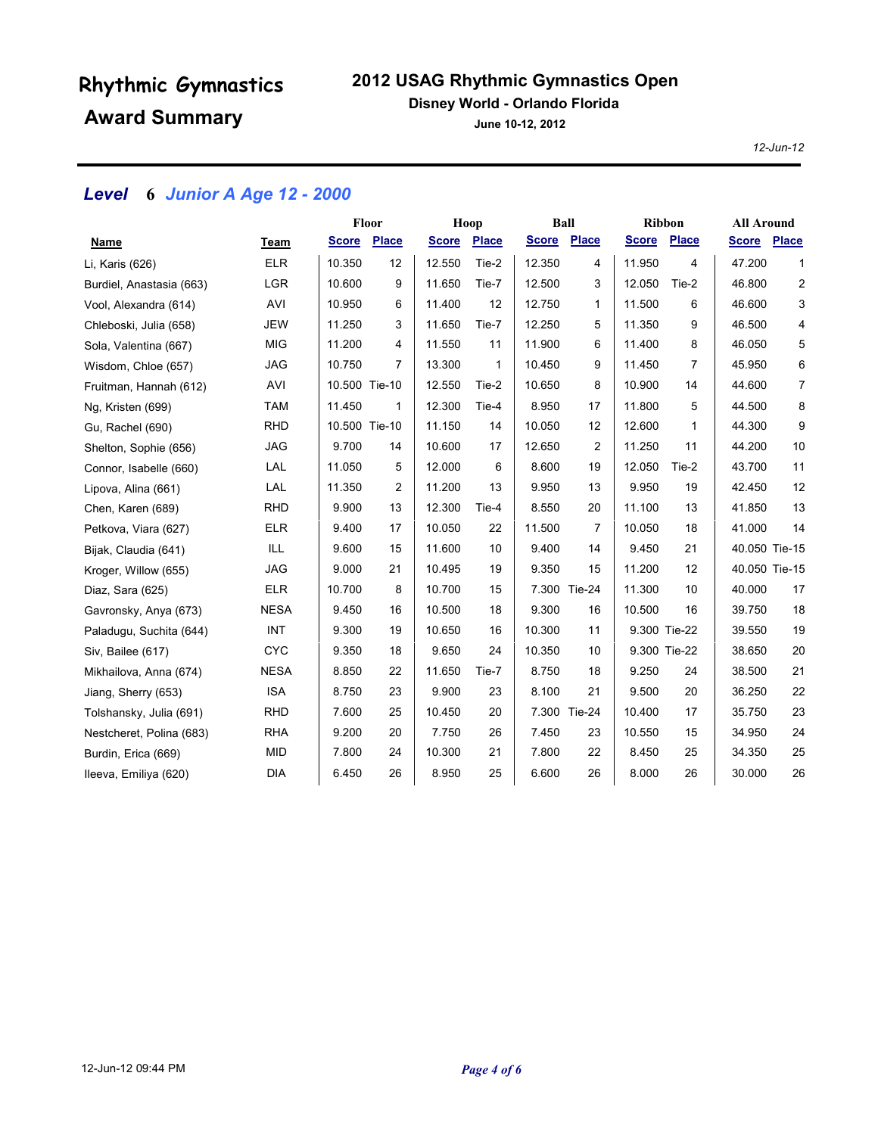### **2012 USAG Rhythmic Gymnastics Open**

#### **Disney World - Orlando Florida**

**June 10-12, 2012**

*12-Jun-12*

### *Level* **6** *Junior A Age 12 - 2000*

|                          |             | Floor         |              | Hoop         |              | <b>Ball</b>  |                | <b>Ribbon</b> |              | <b>All Around</b> |                |
|--------------------------|-------------|---------------|--------------|--------------|--------------|--------------|----------------|---------------|--------------|-------------------|----------------|
| Name                     | Team        | <b>Score</b>  | <b>Place</b> | <b>Score</b> | <b>Place</b> | <b>Score</b> | Place          | <b>Score</b>  | Place        | Score Place       |                |
| Li, Karis (626)          | <b>ELR</b>  | 10.350        | 12           | 12.550       | Tie-2        | 12.350       | 4              | 11.950        | 4            | 47.200            | $\mathbf{1}$   |
| Burdiel, Anastasia (663) | <b>LGR</b>  | 10.600        | 9            | 11.650       | Tie-7        | 12.500       | 3              | 12.050        | Tie-2        | 46.800            | $\overline{c}$ |
| Vool, Alexandra (614)    | AVI         | 10.950        | 6            | 11.400       | 12           | 12.750       | $\mathbf{1}$   | 11.500        | 6            | 46.600            | 3              |
| Chleboski, Julia (658)   | <b>JEW</b>  | 11.250        | 3            | 11.650       | Tie-7        | 12.250       | 5              | 11.350        | 9            | 46.500            | 4              |
| Sola, Valentina (667)    | <b>MIG</b>  | 11.200        | 4            | 11.550       | 11           | 11.900       | 6              | 11.400        | 8            | 46.050            | 5              |
| Wisdom, Chloe (657)      | <b>JAG</b>  | 10.750        | 7            | 13.300       | 1            | 10.450       | 9              | 11.450        | 7            | 45.950            | 6              |
| Fruitman, Hannah (612)   | AVI         | 10.500 Tie-10 |              | 12.550       | Tie-2        | 10.650       | 8              | 10.900        | 14           | 44.600            | $\overline{7}$ |
| Ng, Kristen (699)        | <b>TAM</b>  | 11.450        | 1            | 12.300       | Tie-4        | 8.950        | 17             | 11.800        | 5            | 44.500            | 8              |
| Gu, Rachel (690)         | <b>RHD</b>  | 10.500 Tie-10 |              | 11.150       | 14           | 10.050       | 12             | 12.600        | $\mathbf{1}$ | 44.300            | 9              |
| Shelton, Sophie (656)    | <b>JAG</b>  | 9.700         | 14           | 10.600       | 17           | 12.650       | $\overline{2}$ | 11.250        | 11           | 44.200            | 10             |
| Connor, Isabelle (660)   | LAL         | 11.050        | 5            | 12.000       | 6            | 8.600        | 19             | 12.050        | Tie-2        | 43.700            | 11             |
| Lipova, Alina (661)      | LAL         | 11.350        | 2            | 11.200       | 13           | 9.950        | 13             | 9.950         | 19           | 42.450            | 12             |
| Chen, Karen (689)        | <b>RHD</b>  | 9.900         | 13           | 12.300       | Tie-4        | 8.550        | 20             | 11.100        | 13           | 41.850            | 13             |
| Petkova, Viara (627)     | <b>ELR</b>  | 9.400         | 17           | 10.050       | 22           | 11.500       | 7              | 10.050        | 18           | 41.000            | 14             |
| Bijak, Claudia (641)     | ILL         | 9.600         | 15           | 11.600       | 10           | 9.400        | 14             | 9.450         | 21           | 40.050 Tie-15     |                |
| Kroger, Willow (655)     | <b>JAG</b>  | 9.000         | 21           | 10.495       | 19           | 9.350        | 15             | 11.200        | 12           | 40.050 Tie-15     |                |
| Diaz, Sara (625)         | <b>ELR</b>  | 10.700        | 8            | 10.700       | 15           |              | 7.300 Tie-24   | 11.300        | 10           | 40.000            | 17             |
| Gavronsky, Anya (673)    | <b>NESA</b> | 9.450         | 16           | 10.500       | 18           | 9.300        | 16             | 10.500        | 16           | 39.750            | 18             |
| Paladugu, Suchita (644)  | INT         | 9.300         | 19           | 10.650       | 16           | 10.300       | 11             |               | 9.300 Tie-22 | 39.550            | 19             |
| Siv, Bailee (617)        | <b>CYC</b>  | 9.350         | 18           | 9.650        | 24           | 10.350       | 10             |               | 9.300 Tie-22 | 38.650            | 20             |
| Mikhailova, Anna (674)   | <b>NESA</b> | 8.850         | 22           | 11.650       | Tie-7        | 8.750        | 18             | 9.250         | 24           | 38.500            | 21             |
| Jiang, Sherry (653)      | <b>ISA</b>  | 8.750         | 23           | 9.900        | 23           | 8.100        | 21             | 9.500         | 20           | 36.250            | 22             |
| Tolshansky, Julia (691)  | <b>RHD</b>  | 7.600         | 25           | 10.450       | 20           |              | 7.300 Tie-24   | 10.400        | 17           | 35.750            | 23             |
| Nestcheret, Polina (683) | <b>RHA</b>  | 9.200         | 20           | 7.750        | 26           | 7.450        | 23             | 10.550        | 15           | 34.950            | 24             |
| Burdin, Erica (669)      | <b>MID</b>  | 7.800         | 24           | 10.300       | 21           | 7.800        | 22             | 8.450         | 25           | 34.350            | 25             |
| Ileeva, Emiliya (620)    | <b>DIA</b>  | 6.450         | 26           | 8.950        | 25           | 6.600        | 26             | 8.000         | 26           | 30.000            | 26             |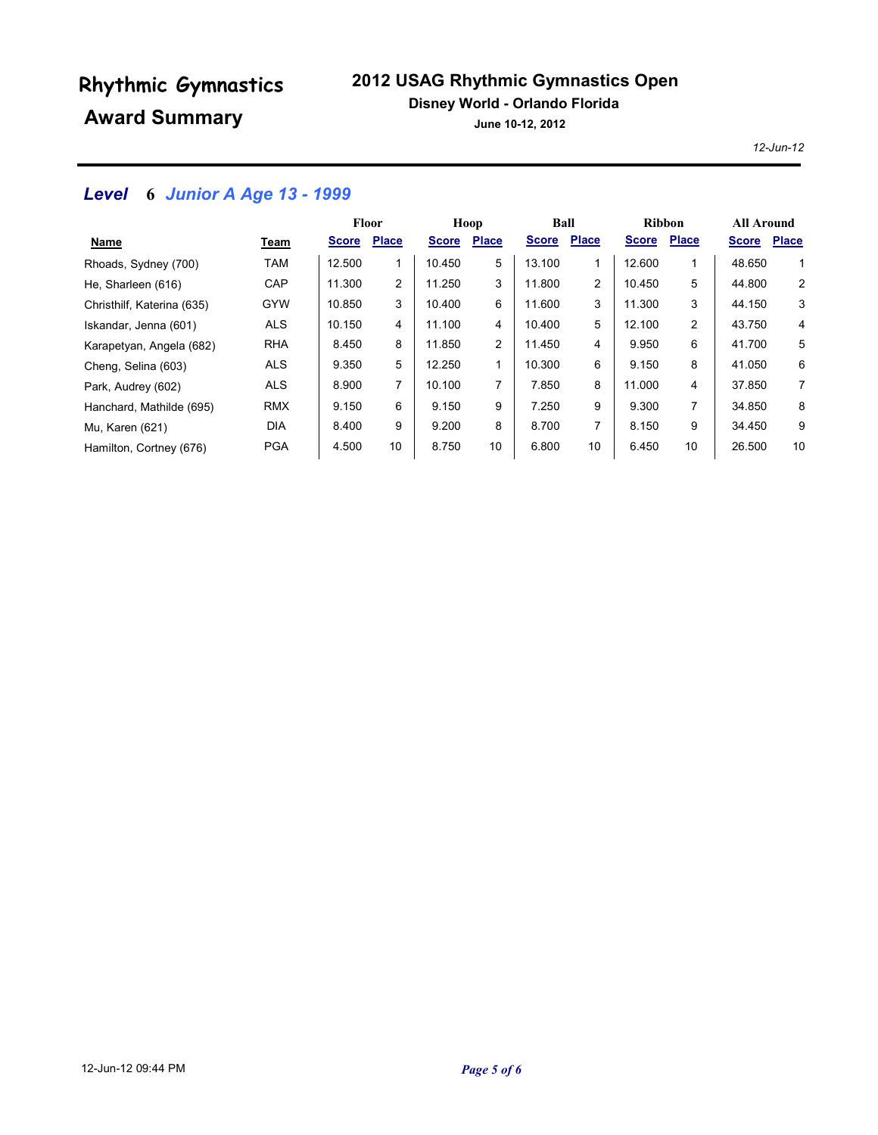### **2012 USAG Rhythmic Gymnastics Open**

#### **Disney World - Orlando Florida**

**June 10-12, 2012**

*12-Jun-12*

### *Level* **6** *Junior A Age 13 - 1999*

|                            |            | <b>Floor</b> |                | Hoop         |              | Ball         |                | <b>Ribbon</b> |              | <b>All Around</b> |              |
|----------------------------|------------|--------------|----------------|--------------|--------------|--------------|----------------|---------------|--------------|-------------------|--------------|
| Name                       | Team       | <b>Score</b> | <b>Place</b>   | <b>Score</b> | <b>Place</b> | <b>Score</b> | <b>Place</b>   | <b>Score</b>  | <b>Place</b> | <b>Score</b>      | <b>Place</b> |
| Rhoads, Sydney (700)       | <b>TAM</b> | 12.500       | 1              | 10.450       | 5            | 13.100       | 1              | 12.600        | 1            | 48.650            | 1            |
| He, Sharleen (616)         | CAP        | 11.300       | $\overline{c}$ | 11.250       | 3            | 11.800       | $\overline{2}$ | 10.450        | 5            | 44.800            | 2            |
| Christhilf, Katerina (635) | <b>GYW</b> | 10.850       | 3              | 10.400       | 6            | 11.600       | 3              | 11.300        | 3            | 44.150            | 3            |
| Iskandar, Jenna (601)      | <b>ALS</b> | 10.150       | 4              | 11.100       | 4            | 10.400       | 5              | 12.100        | 2            | 43.750            | 4            |
| Karapetyan, Angela (682)   | <b>RHA</b> | 8.450        | 8              | 11.850       | 2            | 11.450       | 4              | 9.950         | 6            | 41.700            | 5            |
| Cheng, Selina (603)        | <b>ALS</b> | 9.350        | 5              | 12.250       |              | 10.300       | 6              | 9.150         | 8            | 41.050            | 6            |
| Park, Audrey (602)         | <b>ALS</b> | 8.900        | 7              | 10.100       | 7            | 7.850        | 8              | 11.000        | 4            | 37.850            | 7            |
| Hanchard, Mathilde (695)   | <b>RMX</b> | 9.150        | 6              | 9.150        | 9            | 7.250        | 9              | 9.300         | 7            | 34.850            | 8            |
| Mu, Karen (621)            | <b>DIA</b> | 8.400        | 9              | 9.200        | 8            | 8.700        | 7              | 8.150         | 9            | 34.450            | 9            |
| Hamilton, Cortney (676)    | <b>PGA</b> | 4.500        | 10             | 8.750        | 10           | 6.800        | 10             | 6.450         | 10           | 26,500            | 10           |